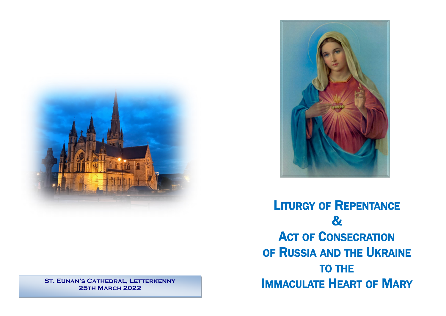

**St. Eunan's Cathedral, Letterkenny 25th March 2022**



LITURGY OF REPENTANCE & **ACT OF CONSECRATION** OF RUSSIA AND THE UKRAINE TO THE IMMACULATE HEART OF MARY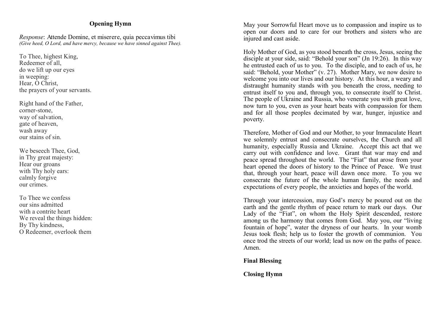# **Opening Hymn**

*Response*: Attende Domine, et miserere, quia peccavimus tibi *(Give heed, O Lord, and have mercy, because we have sinned against Thee).*

To Thee, highest King, Redeemer of all, do we lift up our eyes in weeping: Hear, O Christ, the prayers of your servants.

Right hand of the Father, corner-stone, way of salvation, gate of heaven, wash away our stains of sin.

We beseech Thee, God, in Thy great majesty: Hear our groans with Thy holy ears: calmly forgive our crimes.

To Thee we confess our sins admitted with a contrite heart We reveal the things hidden: By Thy kindness, O Redeemer, overlook them

May your Sorrowful Heart move us to compassion and inspire us to open our doors and to care for our brothers and sisters who are injured and cast aside.

Holy Mother of God, as you stood beneath the cross, Jesus, seeing the disciple at your side, said: "Behold your son" (Jn 19:26). In this way he entrusted each of us to you. To the disciple, and to each of us, he said: "Behold, your Mother" (v. 27). Mother Mary, we now desire to welcome you into our lives and our history. At this hour, a weary and distraught humanity stands with you beneath the cross, needing to entrust itself to you and, through you, to consecrate itself to Christ. The people of Ukraine and Russia, who venerate you with great love, now turn to you, even as your heart beats with compassion for them and for all those peoples decimated by war, hunger, injustice and poverty.

Therefore, Mother of God and our Mother, to your Immaculate Heart we solemnly entrust and consecrate ourselves, the Church and all humanity, especially Russia and Ukraine. Accept this act that we carry out with confidence and love. Grant that war may end and peace spread throughout the world. The "Fiat" that arose from your heart opened the doors of history to the Prince of Peace. We trust that, through your heart, peace will dawn once more. To you we consecrate the future of the whole human family, the needs and expectations of every people, the anxieties and hopes of the world.

Through your intercession, may God's mercy be poured out on the earth and the gentle rhythm of peace return to mark our days. Our Lady of the "Fiat", on whom the Holy Spirit descended, restore among us the harmony that comes from God. May you, our "living fountain of hope", water the dryness of our hearts. In your womb Jesus took flesh; help us to foster the growth of communion. You once trod the streets of our world; lead us now on the paths of peace. Amen.

**Final Blessing**

**Closing Hymn**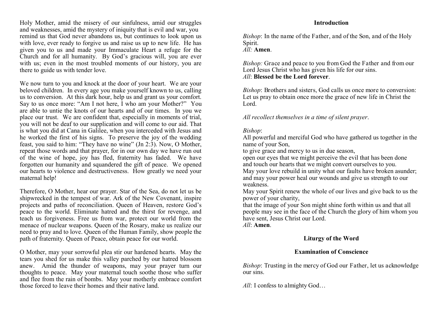Holy Mother, amid the misery of our sinfulness, amid our struggles and weaknesses, amid the mystery of iniquity that is evil and war, you remind us that God never abandons us, but continues to look upon us with love, ever ready to forgive us and raise us up to new life. He has given you to us and made your Immaculate Heart a refuge for the Church and for all humanity. By God's gracious will, you are ever with us; even in the most troubled moments of our history, you are there to guide us with tender love.

We now turn to you and knock at the door of your heart. We are your beloved children. In every age you make yourself known to us, calling us to conversion. At this dark hour, help us and grant us your comfort. Say to us once more: "Am I not here, I who am your Mother?" You are able to untie the knots of our hearts and of our times. In you we place our trust. We are confident that, especially in moments of trial, you will not be deaf to our supplication and will come to our aid. That is what you did at Cana in Galilee, when you interceded with Jesus and he worked the first of his signs. To preserve the joy of the wedding feast, you said to him: "They have no wine" (Jn 2:3). Now, O Mother, repeat those words and that prayer, for in our own day we have run out of the wine of hope, joy has fled, fraternity has faded. We have forgotten our humanity and squandered the gift of peace. We opened our hearts to violence and destructiveness. How greatly we need your maternal help!

Therefore, O Mother, hear our prayer. Star of the Sea, do not let us be shipwrecked in the tempest of war. Ark of the New Covenant, inspire projects and paths of reconciliation. Queen of Heaven, restore God's peace to the world. Eliminate hatred and the thirst for revenge, and teach us forgiveness. Free us from war, protect our world from the menace of nuclear weapons. Queen of the Rosary, make us realize our need to pray and to love. Queen of the Human Family, show people the path of fraternity. Queen of Peace, obtain peace for our world.

O Mother, may your sorrowful plea stir our hardened hearts. May the tears you shed for us make this valley parched by our hatred blossom anew. Amid the thunder of weapons, may your prayer turn our thoughts to peace. May your maternal touch soothe those who suffer and flee from the rain of bombs. May your motherly embrace comfort those forced to leave their homes and their native land.

#### **Introduction**

*Bishop*: In the name of the Father, and of the Son, and of the Holy Spirit.

*All:* **Amen**.

*Bishop:* Grace and peace to you from God the Father and from our Lord Jesus Christ who has given his life for our sins. *All*: **Blessed be the Lord forever**.

*Bishop*: Brothers and sisters, God calls us once more to conversion: Let us pray to obtain once more the grace of new life in Christ the Lord.

*All recollect themselves in a time of silent prayer*.

#### *Bishop*:

All powerful and merciful God who have gathered us together in the name of your Son,

to give grace and mercy to us in due season,

open our eyes that we might perceive the evil that has been done and touch our hearts that we might convert ourselves to you.

May your love rebuild in unity what our faults have broken asunder; and may your power heal our wounds and give us strength to our weakness.

May your Spirit renew the whole of our lives and give back to us the power of your charity,

that the image of your Son might shine forth within us and that all people may see in the face of the Church the glory of him whom you have sent, Jesus Christ our Lord.

*All*: **Amen**.

## **Liturgy of the Word**

## **Examination of Conscience**

*Bishop*: Trusting in the mercy of God our Father, let us acknowledge our sins.

*All*: I confess to almighty God…